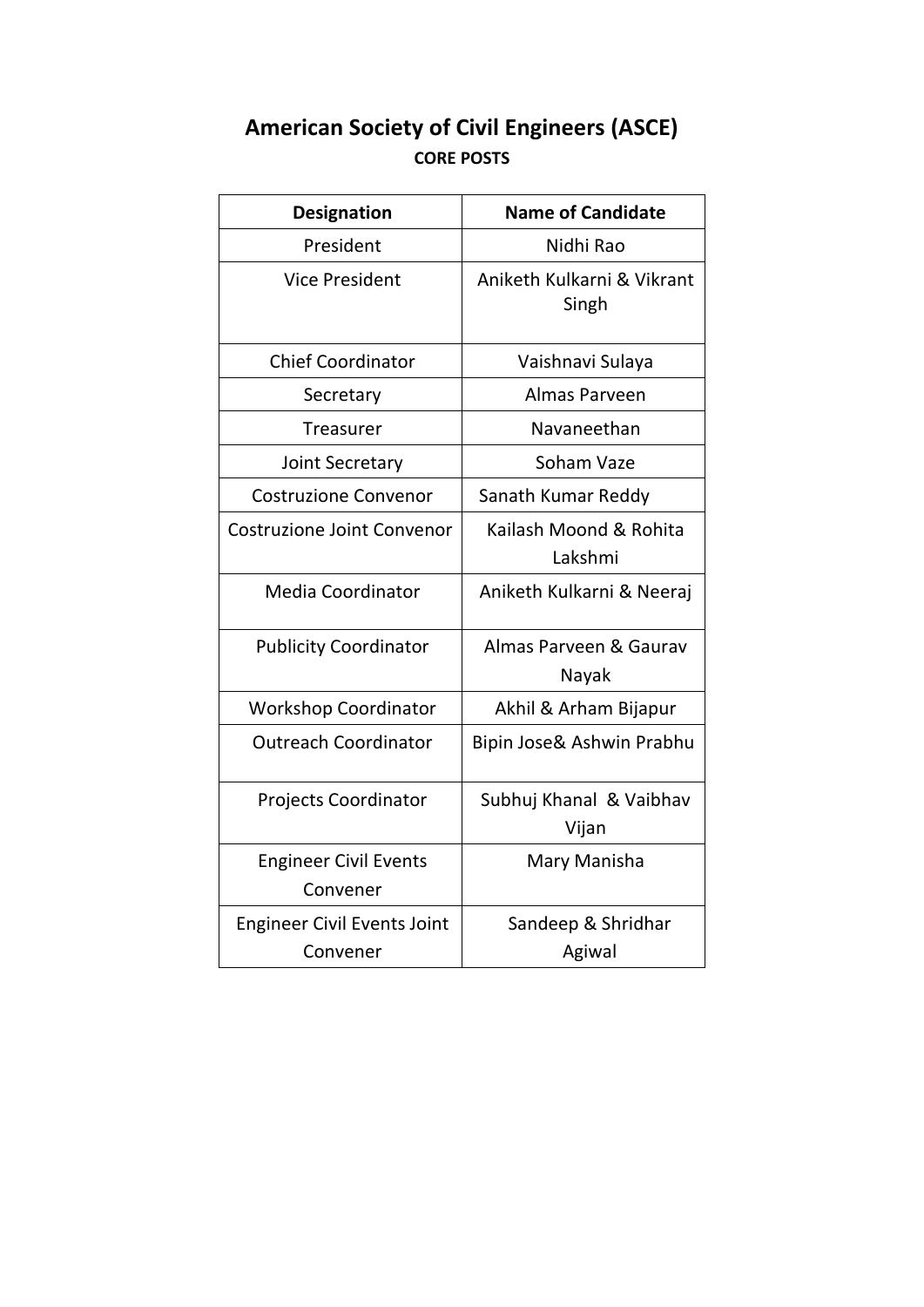## **American Society of Civil Engineers (ASCE) CORE POSTS**

| <b>Designation</b>                 | <b>Name of Candidate</b>            |
|------------------------------------|-------------------------------------|
| President                          | Nidhi Rao                           |
| <b>Vice President</b>              | Aniketh Kulkarni & Vikrant<br>Singh |
| <b>Chief Coordinator</b>           | Vaishnavi Sulaya                    |
| Secretary                          | Almas Parveen                       |
| Treasurer                          | Navaneethan                         |
| Joint Secretary                    | Soham Vaze                          |
| <b>Costruzione Convenor</b>        | Sanath Kumar Reddy                  |
| <b>Costruzione Joint Convenor</b>  | Kailash Moond & Rohita<br>Lakshmi   |
| <b>Media Coordinator</b>           | Aniketh Kulkarni & Neeraj           |
| <b>Publicity Coordinator</b>       | Almas Parveen & Gaurav<br>Nayak     |
| <b>Workshop Coordinator</b>        | Akhil & Arham Bijapur               |
| <b>Outreach Coordinator</b>        | Bipin Jose& Ashwin Prabhu           |
| <b>Projects Coordinator</b>        | Subhuj Khanal & Vaibhav<br>Vijan    |
| <b>Engineer Civil Events</b>       | Mary Manisha                        |
| Convener                           |                                     |
| <b>Engineer Civil Events Joint</b> | Sandeep & Shridhar                  |
| Convener                           | Agiwal                              |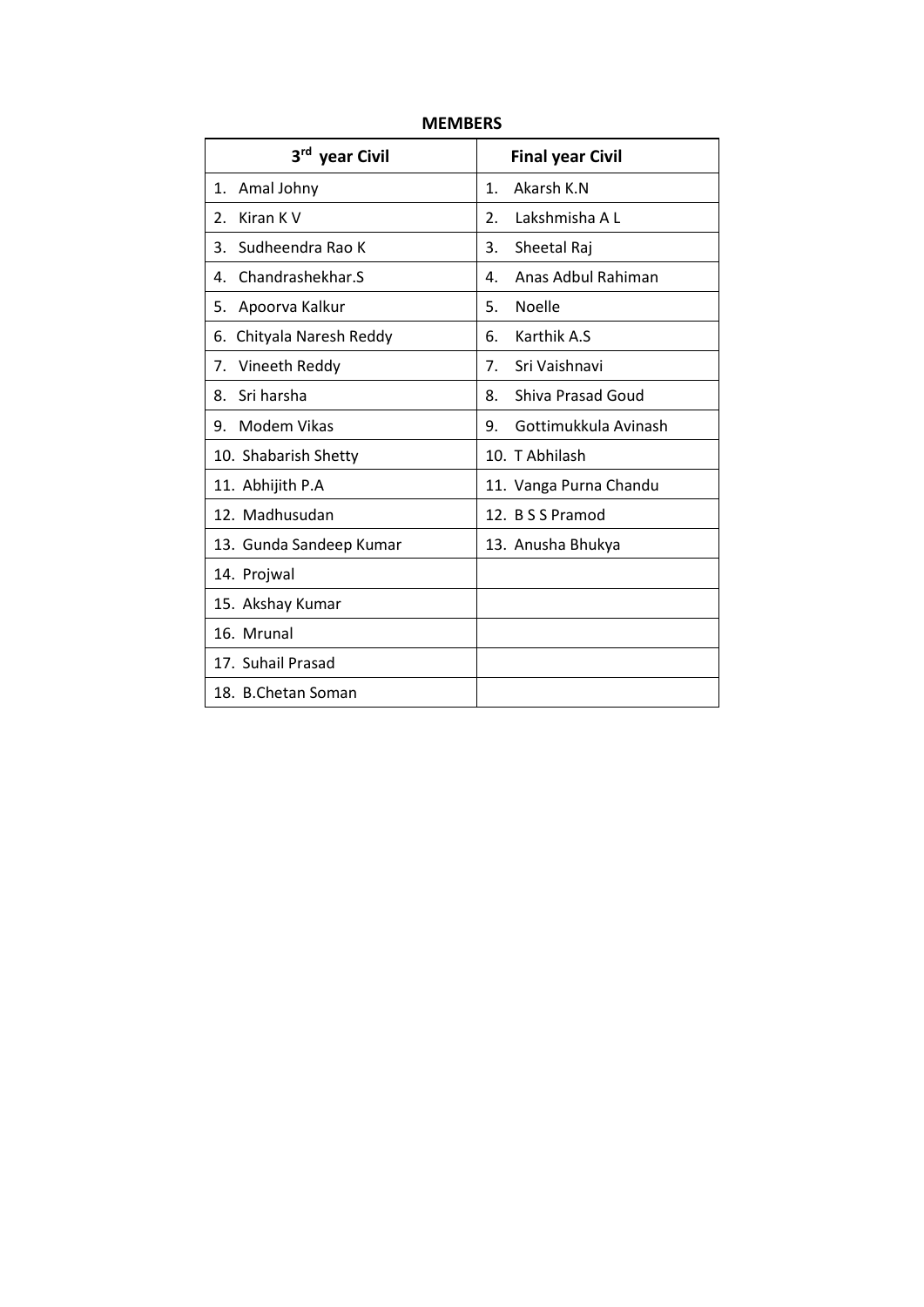| 3rd year Civil                | <b>Final year Civil</b>    |
|-------------------------------|----------------------------|
| Amal Johny<br>1.              | Akarsh K.N<br>1.           |
| $\overline{2}$ .<br>Kiran K V | Lakshmisha A L<br>2.       |
| 3.<br>Sudheendra Rao K        | 3.<br>Sheetal Raj          |
| Chandrashekhar.S<br>4.        | Anas Adbul Rahiman<br>4.   |
| 5.<br>Apoorva Kalkur          | <b>Noelle</b><br>5.        |
| Chityala Naresh Reddy<br>6.   | Karthik A.S<br>6.          |
| 7.<br>Vineeth Reddy           | 7.<br>Sri Vaishnavi        |
| Sri harsha<br>8.              | 8.<br>Shiva Prasad Goud    |
| Modem Vikas<br>9.             | Gottimukkula Avinash<br>9. |
| 10. Shabarish Shetty          | 10. T Abhilash             |
| 11. Abhijith P.A              | 11. Vanga Purna Chandu     |
| 12. Madhusudan                | 12. B S S Pramod           |
| 13. Gunda Sandeep Kumar       | 13. Anusha Bhukya          |
| 14. Projwal                   |                            |
| 15. Akshay Kumar              |                            |
| 16. Mrunal                    |                            |
| 17. Suhail Prasad             |                            |
| 18. B.Chetan Soman            |                            |

## **MEMBERS**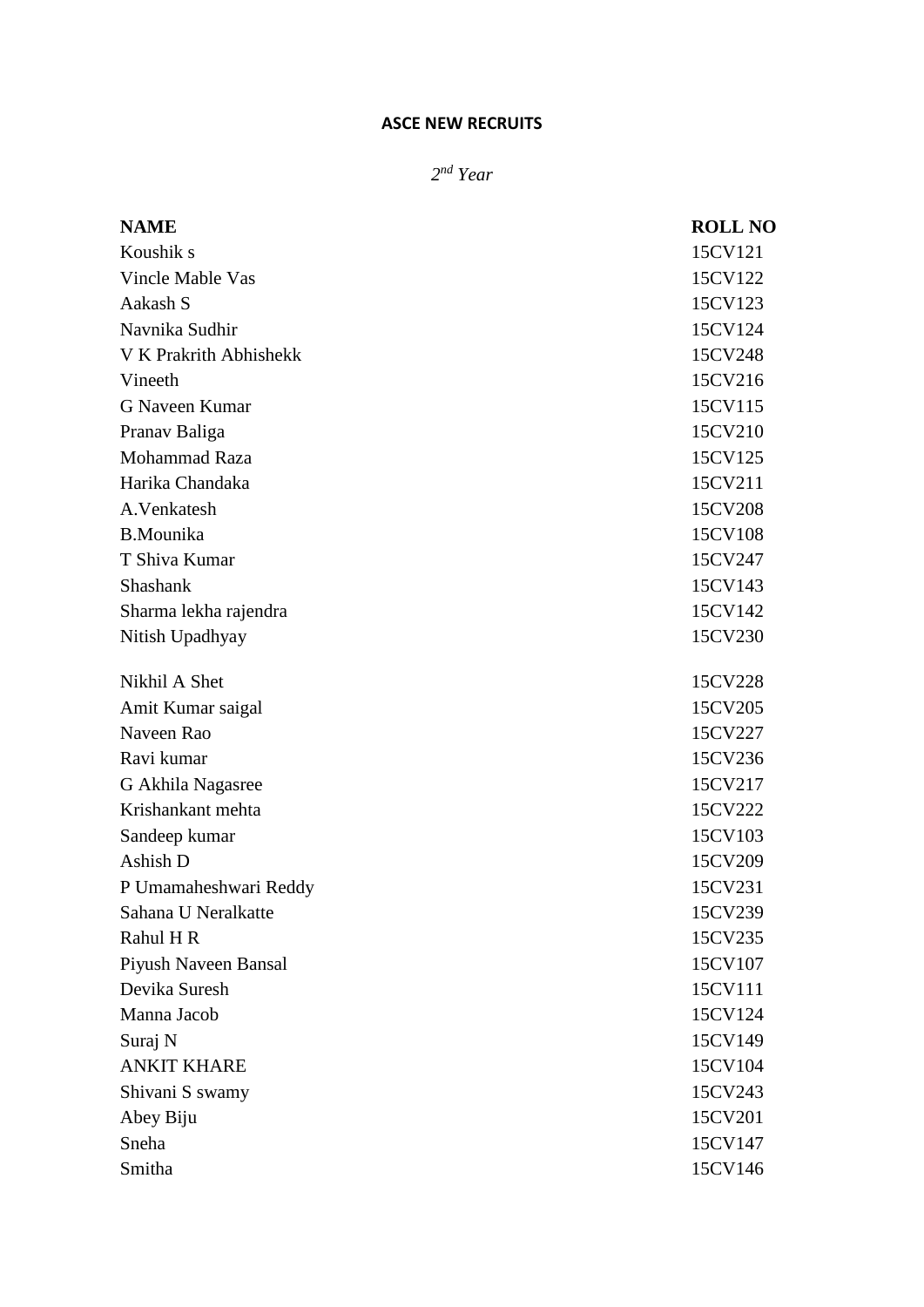## **ASCE NEW RECRUITS**

*2 nd Year*

| <b>NAME</b>            | <b>ROLL NO</b> |
|------------------------|----------------|
| Koushik s              | 15CV121        |
| Vincle Mable Vas       | 15CV122        |
| Aakash S               | 15CV123        |
| Navnika Sudhir         | 15CV124        |
| V K Prakrith Abhishekk | 15CV248        |
| Vineeth                | 15CV216        |
| <b>G</b> Naveen Kumar  | 15CV115        |
| Pranav Baliga          | 15CV210        |
| <b>Mohammad Raza</b>   | 15CV125        |
| Harika Chandaka        | 15CV211        |
| A. Venkatesh           | 15CV208        |
| <b>B.Mounika</b>       | 15CV108        |
| T Shiva Kumar          | 15CV247        |
| Shashank               | 15CV143        |
| Sharma lekha rajendra  | 15CV142        |
| Nitish Upadhyay        | 15CV230        |
| Nikhil A Shet          | 15CV228        |
| Amit Kumar saigal      | 15CV205        |
| Naveen Rao             | 15CV227        |
| Ravi kumar             | 15CV236        |
| G Akhila Nagasree      | 15CV217        |
| Krishankant mehta      | 15CV222        |
| Sandeep kumar          | 15CV103        |
| Ashish D               | 15CV209        |
| P Umamaheshwari Reddy  | 15CV231        |
| Sahana U Neralkatte    | 15CV239        |
| Rahul H R              | 15CV235        |
| Piyush Naveen Bansal   | 15CV107        |
| Devika Suresh          | 15CV111        |
| Manna Jacob            | 15CV124        |
| Suraj N                | 15CV149        |
| <b>ANKIT KHARE</b>     | 15CV104        |
| Shivani S swamy        | 15CV243        |
| Abey Biju              | 15CV201        |
| Sneha                  | 15CV147        |
| Smitha                 | 15CV146        |
|                        |                |